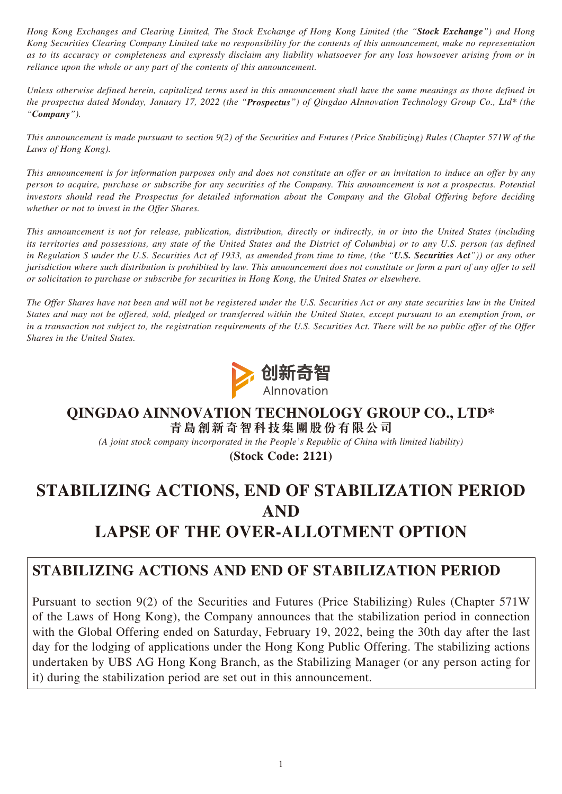*Hong Kong Exchanges and Clearing Limited, The Stock Exchange of Hong Kong Limited (the "Stock Exchange") and Hong Kong Securities Clearing Company Limited take no responsibility for the contents of this announcement, make no representation as to its accuracy or completeness and expressly disclaim any liability whatsoever for any loss howsoever arising from or in reliance upon the whole or any part of the contents of this announcement.*

*Unless otherwise defined herein, capitalized terms used in this announcement shall have the same meanings as those defined in the prospectus dated Monday, January 17, 2022 (the "Prospectus") of Qingdao AInnovation Technology Group Co., Ltd\* (the "Company").*

*This announcement is made pursuant to section 9(2) of the Securities and Futures (Price Stabilizing) Rules (Chapter 571W of the Laws of Hong Kong).*

*This announcement is for information purposes only and does not constitute an offer or an invitation to induce an offer by any person to acquire, purchase or subscribe for any securities of the Company. This announcement is not a prospectus. Potential investors should read the Prospectus for detailed information about the Company and the Global Offering before deciding whether or not to invest in the Offer Shares.*

*This announcement is not for release, publication, distribution, directly or indirectly, in or into the United States (including its territories and possessions, any state of the United States and the District of Columbia) or to any U.S. person (as defined in Regulation S under the U.S. Securities Act of 1933, as amended from time to time, (the "U.S. Securities Act")) or any other jurisdiction where such distribution is prohibited by law. This announcement does not constitute or form a part of any offer to sell or solicitation to purchase or subscribe for securities in Hong Kong, the United States or elsewhere.*

*The Offer Shares have not been and will not be registered under the U.S. Securities Act or any state securities law in the United States and may not be offered, sold, pledged or transferred within the United States, except pursuant to an exemption from, or*  in a transaction not subject to, the registration requirements of the U.S. Securities Act. There will be no public offer of the Offer *Shares in the United States.*



#### **QINGDAO AINNOVATION TECHNOLOGY GROUP CO., LTD\* 青島創新奇智科技集團股份有限公司**

*(A joint stock company incorporated in the People's Republic of China with limited liability)*

**(Stock Code: 2121)**

# **STABILIZING ACTIONS, END OF STABILIZATION PERIOD AND LAPSE OF THE OVER-ALLOTMENT OPTION**

### **STABILIZING ACTIONS AND END OF STABILIZATION PERIOD**

Pursuant to section 9(2) of the Securities and Futures (Price Stabilizing) Rules (Chapter 571W of the Laws of Hong Kong), the Company announces that the stabilization period in connection with the Global Offering ended on Saturday, February 19, 2022, being the 30th day after the last day for the lodging of applications under the Hong Kong Public Offering. The stabilizing actions undertaken by UBS AG Hong Kong Branch, as the Stabilizing Manager (or any person acting for it) during the stabilization period are set out in this announcement.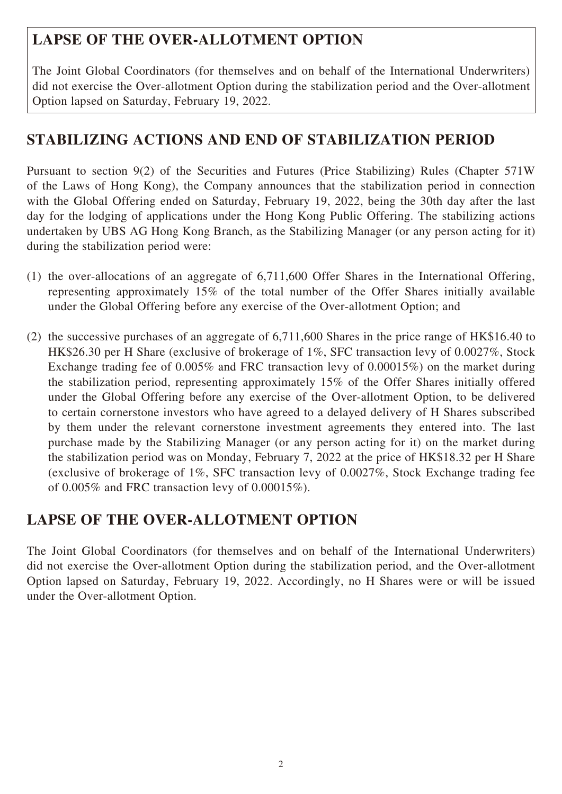# **LAPSE OF THE OVER-ALLOTMENT OPTION**

The Joint Global Coordinators (for themselves and on behalf of the International Underwriters) did not exercise the Over-allotment Option during the stabilization period and the Over-allotment Option lapsed on Saturday, February 19, 2022.

# **STABILIZING ACTIONS AND END OF STABILIZATION PERIOD**

Pursuant to section 9(2) of the Securities and Futures (Price Stabilizing) Rules (Chapter 571W of the Laws of Hong Kong), the Company announces that the stabilization period in connection with the Global Offering ended on Saturday, February 19, 2022, being the 30th day after the last day for the lodging of applications under the Hong Kong Public Offering. The stabilizing actions undertaken by UBS AG Hong Kong Branch, as the Stabilizing Manager (or any person acting for it) during the stabilization period were:

- (1) the over-allocations of an aggregate of 6,711,600 Offer Shares in the International Offering, representing approximately 15% of the total number of the Offer Shares initially available under the Global Offering before any exercise of the Over-allotment Option; and
- (2) the successive purchases of an aggregate of 6,711,600 Shares in the price range of HK\$16.40 to HK\$26.30 per H Share (exclusive of brokerage of 1%, SFC transaction levy of 0.0027%, Stock Exchange trading fee of 0.005% and FRC transaction levy of 0.00015%) on the market during the stabilization period, representing approximately 15% of the Offer Shares initially offered under the Global Offering before any exercise of the Over-allotment Option, to be delivered to certain cornerstone investors who have agreed to a delayed delivery of H Shares subscribed by them under the relevant cornerstone investment agreements they entered into. The last purchase made by the Stabilizing Manager (or any person acting for it) on the market during the stabilization period was on Monday, February 7, 2022 at the price of HK\$18.32 per H Share (exclusive of brokerage of 1%, SFC transaction levy of 0.0027%, Stock Exchange trading fee of 0.005% and FRC transaction levy of 0.00015%).

### **LAPSE OF THE OVER-ALLOTMENT OPTION**

The Joint Global Coordinators (for themselves and on behalf of the International Underwriters) did not exercise the Over-allotment Option during the stabilization period, and the Over-allotment Option lapsed on Saturday, February 19, 2022. Accordingly, no H Shares were or will be issued under the Over-allotment Option.